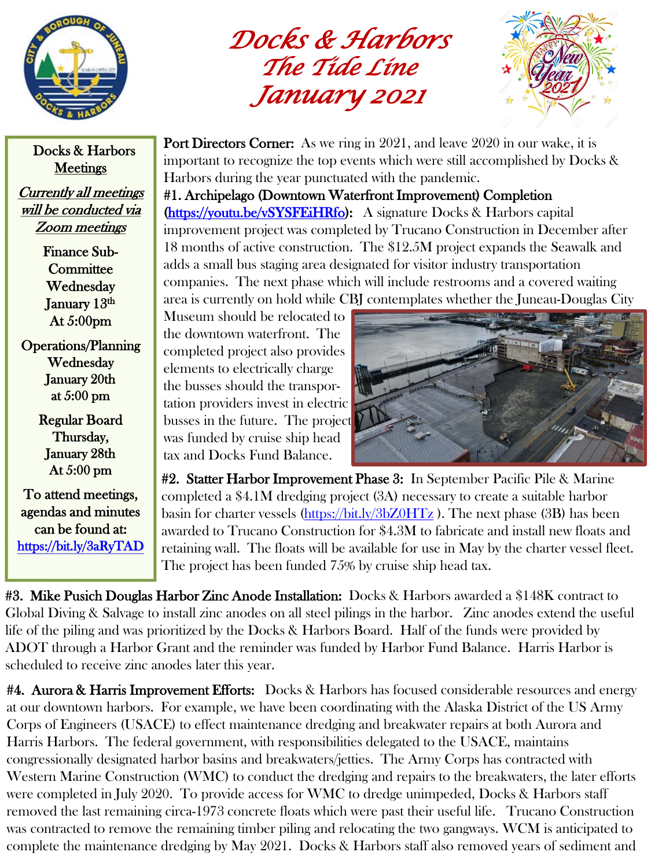

*Docks & Harbors The Tide Line January 2021*



Docks & Harbors **Meetings** 

Currently all meetings will be conducted via Zoom meetings

> Finance Sub-**Committee** Wednesday January 13th At 5:00pm

Operations/Planning Wednesday January 20th at 5:00 pm

> Regular Board Thursday, January 28th At 5:00 pm

To attend meetings, agendas and minutes can be found at: <https://bit.ly/3aRyTAD> **Port Directors Corner:** As we ring in 2021, and leave 2020 in our wake, it is important to recognize the top events which were still accomplished by Docks & Harbors during the year punctuated with the pandemic.

#1. Archipelago (Downtown Waterfront Improvement) Completion [\(https://youtu.be/vSYSFEiHRfo](https://youtu.be/vSYSFEiHRfo)): A signature Docks & Harbors capital improvement project was completed by Trucano Construction in December after 18 months of active construction. The \$12.5M project expands the Seawalk and adds a small bus staging area designated for visitor industry transportation companies. The next phase which will include restrooms and a covered waiting area is currently on hold while CBJ contemplates whether the Juneau-Douglas City

Museum should be relocated to the downtown waterfront. The completed project also provides elements to electrically charge the busses should the transportation providers invest in electric busses in the future. The project was funded by cruise ship head tax and Docks Fund Balance.



#2. Statter Harbor Improvement Phase 3: In September Pacific Pile & Marine completed a \$4.1M dredging project (3A) necessary to create a suitable harbor basin for charter vessels [\(https://bit.ly/3bZ0HTz](https://bit.ly/3bZ0HTz) ). The next phase (3B) has been awarded to Trucano Construction for \$4.3M to fabricate and install new floats and retaining wall. The floats will be available for use in May by the charter vessel fleet. The project has been funded 75% by cruise ship head tax.

#3. Mike Pusich Douglas Harbor Zinc Anode Installation: Docks & Harbors awarded a \$148K contract to Global Diving & Salvage to install zinc anodes on all steel pilings in the harbor. Zinc anodes extend the useful life of the piling and was prioritized by the Docks & Harbors Board. Half of the funds were provided by ADOT through a Harbor Grant and the reminder was funded by Harbor Fund Balance. Harris Harbor is scheduled to receive zinc anodes later this year.

**#4. Aurora & Harris Improvement Efforts:** Docks & Harbors has focused considerable resources and energy at our downtown harbors. For example, we have been coordinating with the Alaska District of the US Army Corps of Engineers (USACE) to effect maintenance dredging and breakwater repairs at both Aurora and Harris Harbors. The federal government, with responsibilities delegated to the USACE, maintains congressionally designated harbor basins and breakwaters/jetties. The Army Corps has contracted with Western Marine Construction (WMC) to conduct the dredging and repairs to the breakwaters, the later efforts were completed in July 2020. To provide access for WMC to dredge unimpeded, Docks & Harbors staff removed the last remaining circa-1973 concrete floats which were past their useful life. Trucano Construction was contracted to remove the remaining timber piling and relocating the two gangways. WCM is anticipated to complete the maintenance dredging by May 2021. Docks & Harbors staff also removed years of sediment and